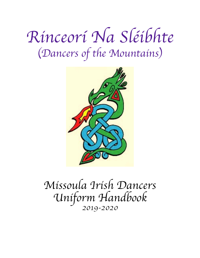# *Rinceor*í *Na Sl*é*ibhte* (*Dancers of the Mountains*)



## *Missoula Irish Dancers Uniform Handbook 2019-2020*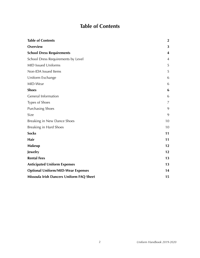## <span id="page-1-0"></span>**Table of Contents**

| <b>Table of Contents</b>                  | $\mathbf{2}$ |
|-------------------------------------------|--------------|
| Overview                                  | 3            |
| <b>School Dress Requirements</b>          | 4            |
| School Dress Requirements by Level        | 4            |
| <b>MID Issued Uniforms</b>                | 5            |
| Non-IDA Issued Items                      | 5            |
| Uniform Exchange                          | 6            |
| MID-Wear                                  | 6            |
| <b>Shoes</b>                              | 6            |
| <b>General Information</b>                | 6            |
| Types of Shoes                            | 7            |
| <b>Purchasing Shoes</b>                   | 9            |
| Size                                      | 9            |
| Breaking in New Dance Shoes               | 10           |
| <b>Breaking in Hard Shoes</b>             | 10           |
| <b>Socks</b>                              | 11           |
| Hair                                      | 11           |
| <b>Makeup</b>                             | 12           |
| Jewelry                                   | 12           |
| <b>Rental Fees</b>                        | 13           |
| <b>Anticipated Uniform Expenses</b>       | 13           |
| <b>Optional Uniform/MID-Wear Expenses</b> | 14           |
| Missoula Irish Dancers Uniform FAQ Sheet  | 15           |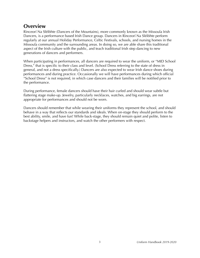## <span id="page-2-0"></span>**Overview**

Rinceorí Na Sléibhte (Dancers of the Mountains), more commonly known as the Missoula Irish Dancers, is a performance based Irish Dance group. Dancers in Rinceorí Na Sléibhte perform regularly at our annual Holiday Performance, Celtic Festivals, schools, and nursing homes in the Missoula community and the surrounding areas. In doing so, we are able share this traditional aspect of the Irish culture with the public, and teach traditional Irish step dancing to new generations of dancers and performers.

When participating in performances, all dancers are required to wear the uniform, or "MID School Dress," that is specific to their class and level. (School Dress referring to the state of dress in general, and not a dress specifically.) Dancers are also expected to wear Irish dance shoes during performances and during practice. Occasionally we will have performances during which official "School Dress" is not required, in which case dancers and their families will be notified prior to the performance.

During performance, female dancers should have their hair curled and should wear subtle but flattering stage make-up. Jewelry, particularly necklaces, watches, and big earrings, are not appropriate for performances and should not be worn.

Dancers should remember that while wearing their uniforms they represent the school, and should behave in a way that reflects our standards and ideals. When on-stage they should perform to the best ability, smile, and have fun! While back-stage, they should remain quiet and polite, listen to backstage helpers and instructors, and watch the other performers with respect.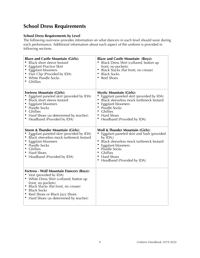## <span id="page-3-0"></span>**School Dress Requirements**

#### <span id="page-3-1"></span>**School Dress Requirements by Level**

The following overview provides information on what dancers in each level should wear during each performance. Additional information about each aspect of the uniform is provided in following sections.

| <b>Blaze and Castle Mountain (Girls):</b><br>Black short sleeve leotard<br>Eggplant Practice Skirt<br>Eggplant bloomers<br>Hair Clip (Provided by IDA)<br>• White Poodle Socks<br>• Ghillies                                                                                      | <b>Blaze and Castle Mountain (Boys):</b><br>Black Dress Shirt (collared, button up<br>front, no pockets)<br>Black Slacks (flat front, no crease)<br>$\bullet$<br><b>Black Socks</b><br>Reel Shoes<br>$\bullet$                                                                                     |
|-----------------------------------------------------------------------------------------------------------------------------------------------------------------------------------------------------------------------------------------------------------------------------------|----------------------------------------------------------------------------------------------------------------------------------------------------------------------------------------------------------------------------------------------------------------------------------------------------|
| <b>Fortress Mountain (Girls):</b><br>Eggplant paneled skirt (provided by IDA)<br>Black short sleeve leotard<br>Eggplant bloomers<br>Poodle Socks<br><b>Ghillies</b><br>• Hard Shoes (as determined by teacher)<br>Headband (Provided by IDA)                                      | <b>Mystic Mountain (Girls):</b><br>Eggplant paneled skirt (provided by IDA)<br>Black sleeveless mock turtleneck leotard<br>٠<br>Eggplant bloomers<br>٠<br>Poodle Socks<br><b>Ghillies</b><br>٠<br><b>Hard Shoes</b><br>٠<br>$\bullet$<br>Headband (Provided by IDA)                                |
| <b>Storm &amp; Thunder Mountain (Girls):</b><br>Eggplant paneled skirt (provided by IDA)<br>Black sleeveless mock turtleneck leotard<br><b>Eggplant bloomers</b><br>Poodle Socks<br>• Ghillies<br>• Hard Shoes<br>• Headband (Provided by IDA)                                    | <b>Wolf &amp; Thunder Mountain (Girls):</b><br>Eggplant paneled skirt and Sash (provided<br>by $IDA$ ;)<br>Black sleeveless mock turtleneck leotard<br>٠<br>Eggplant bloomers<br>Poodle Socks<br>٠<br><b>Ghillies</b><br>$\bullet$<br><b>Hard Shoes</b><br>$\bullet$<br>Headband (Provided by IDA) |
| <b>Fortress - Wolf Mountain Dancers (Boys):</b><br>Vest (provided by IDA)<br>• White Dress Shirt (collared, button up<br>front, no pockets)<br>• Black Slacks (flat front, no crease)<br>• Black Socks<br>Reel Shoes or Black Jazz Shoes<br>Hard Shoes (as determined by teacher) |                                                                                                                                                                                                                                                                                                    |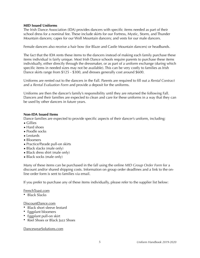#### <span id="page-4-0"></span>**MID Issued Uniforms**

The Irish Dance Association (IDA) provides dancers with specific items needed as part of their school dress for a nominal fee. These include skirts for our Fortress, Mystic, Storm, and Thunder Mountain dancers; capes for our Wolf Mountain dancers; and vests for our male dancers.

Female dancers also receive a hair bow (for Blaze and Castle Mountain dancers) or headbands.

The fact that the IDA rents these items to the dancers instead of making each family purchase these items individual is fairly unique. Most Irish Dance schools require parents to purchase these items individually, either directly through the dressmaker, or as part of a uniform exchange (during which specific items in needed sizes may not be available). This can be very costly to families as Irish Dance skirts range from \$125 - \$300, and dresses generally cost around \$600.

Uniforms are rented out to the dancers in the Fall. Parents are required to fill out a *Rental Contract* and a *Rental Evaluation Form* and provide a deposit for the uniforms.

Uniforms are then the dancer's family's responsibility until they are returned the following Fall. Dancers and their families are expected to clean and care for these uniforms in a way that they can be used by other dancers in future years.

#### <span id="page-4-1"></span>**Non-IDA Issued Items**

Dance families are expected to provide specific aspects of their dancer's uniform, including:

- Gillies
- Hard shoes
- Poodle socks
- Leotards
- Bloomers
- Practice/Parade pull-on skirts
- Black slacks (male only)
- Black dress shirt (male only)
- Black socks (male only)

Many of these items can be purchased in the fall using the online *MID Group Order Form* for a discount and/or shared shipping costs. Information on group order deadlines and a link to the online order form is sent to families via email.

If you prefer to purchase any of these items individually, please refer to the supplier list below:

#### FrenchToast.com

• Black Slacks

#### DiscountDance.com

- Black short sleeve leotard
- Eggplant bloomers
- Eggplant pull-on skirt
- Reel Shoes or Black Jazz Shoes

#### DancewearSolutions.com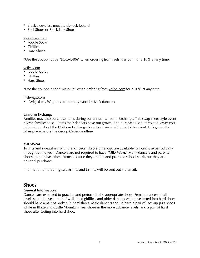- Black sleeveless mock turtleneck leotard
- Reel Shoes or Black Jazz Shoes

#### Reelshoes.com

- Poodle Socks
- Ghillies
- Hard Shoes

\*Use the coupon code "LOCAL406" when ordering from reelshoes.com for a 10% at any time.

#### [keilys.com](http://keilys.com)

- Poodle Socks
- Ghillies
- Hard Shoes

\*Use the coupon code "missoula" when ordering from [keilys.com](http://keilys.com) for a 10% at any time.

#### [irishwigs.com](http://irishwigs.com)

• Wigs (Lexy Wig most commonly worn by MID dancers)

#### <span id="page-5-0"></span>**Uniform Exchange**

Families may also purchase items during our annual Uniform Exchange. This swap-meet style event allows families to sell items their dancers have out grown, and purchase used items at a lower cost. Information about the Uniform Exchange is sent out via email prior to the event. This generally takes place before the Group Order deadline.

#### <span id="page-5-1"></span>**MID-Wear**

T-shirts and sweatshirts with the Rinceorí Na Sléibhte logo are available for purchase periodically throughout the year. Dancers are not required to have "MID-Wear." Many dancers and parents choose to purchase these items because they are fun and promote school spirit, but they are optional purchases.

Information on ordering sweatshirts and t-shirts will be sent out via email.

### <span id="page-5-2"></span>**Shoes**

#### <span id="page-5-3"></span>**General Information**

Dancers are expected to practice and perform in the appropriate shoes. Female dancers of all levels should have a pair of well-fitted ghillies, and older dancers who have tested into hard shoes should have a pair of broken in hard shoes. Male dancers should have a pair of lace-up jazz shoes while in Blaze and Castle Mountain, reel shoes in the more advance levels, and a pair of hard shoes after testing into hard shoe.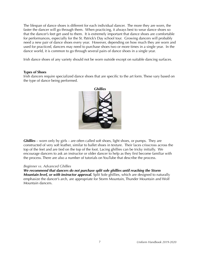The lifespan of dance shoes is different for each individual dancer. The more they are worn, the faster the dancer will go through them. When practicing, it always best to wear dance shoes so that the dancer's feet get used to them. It is extremely important that dance shoes are comfortable for performances, especially for the St. Patrick's Day school tour. Growing dancers will probably need a new pair of dance shoes every year. However, depending on how much they are worn and used for practiced, dancers may need to purchase shoes two or more times in a single year. In the dance world, it is common to go through several pairs of dance shoes in a single year.

Irish dance shoes of any variety should not be worn outside except on suitable dancing surfaces.

#### <span id="page-6-0"></span>**Types of Shoes**

Irish dancers require specialized dance shoes that are specific to the art form. These vary based on the type of dance being performed.



*Ghillies* – worn only by girls – are often called soft shoes, light shoes, or pumps. They are constructed of very soft leather, similar to ballet shoes in texture. Their laces crisscross across the top of the feet and are tied on the top of the foot. Lacing ghillies can be tricky initially. We encourage dancers to ask an instructor or older dancer to help as they first become familiar with the process. There are also a number of tutorials on YouTube that describe the process.

#### *Beginner vs. Advanced Ghillies*

*We recommend that dancers do not purchase split sole ghillies until reaching the Storm Mountain level, or with instructor approval.* Split Sole ghillies, which are designed to naturally emphasize the dancer's arch, are appropriate for Storm Mountain, Thunder Mountain and Wolf Mountain dancers.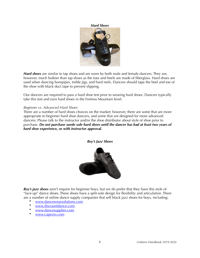*Hard Shoes*



*Hard shoes* are similar to tap shoes and are worn by both male and female dancers. They are, however, much bulkier than tap shoes as the toes and heels are made of fiberglass. Hard shoes are used when dancing hornpipes, treble jigs, and hard reels. Dancers should tape the heel and toe of the shoe with black duct tape to prevent slipping.

Our dancers are required to pass a hard shoe test prior to wearing hard shoes. Dancers typically take this test and earn hard shoes in the Fortress Mountain level.

#### *Beginner vs. Advanced Hard Shoes*

There are a number of hard shoes choices on the market; however, there are some that are more appropriate to beginner hard shoe dancers, and some that are designed for more advanced dancers. Please talk to the instructor and/or the shoe distributor about style of shoe prior to purchase. *Do not purchase suede sole hard shoes until the dancer has had at least two years of hard shoe experience, or with instructor approval.*



*Boy's Jazz Shoes*

*Boy's jazz shoes* aren't require for beginner boys, but we do prefer that they have this style of "lace-up" dance shoes. These shoes have a split-sole design for flexibility and articulation. There are a number of online dance supply companies that sell black jazz shoes for boys, including:

- [www.dancewearsolutions.com](http://www.dancewearsolutions.com)
- [www.discountdance.com](http://www.discountdance.com)
- [www.dancesupplies.com](http://www.dancesupplies.com)
- [www.capezio.com](http://www.capezio.com)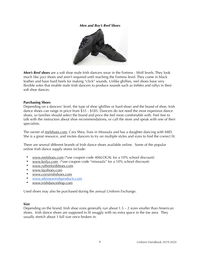#### *Men and Boy's Reel Shoes*



*Men's Reel shoes* are a soft shoe male Irish dancers wear in the Fortress - Wolf levels. They look much like jazz shoes and aren't required until reaching the Fortress level. They come in black leather and have hard heels for making "click" sounds. Unlike ghillies, reel shoes have very flexible soles that enable male Irish dancers to produce sounds such as trebles and rallys in their soft shoe dances.

#### <span id="page-8-0"></span>**Purchasing Shoes**

Depending on a dancers' level, the type of shoe (ghillies or hard shoe) and the brand of shoe, Irish dance shoes can range in price from \$35 - \$185. Dancers do not need the most expensive dance shoes, so families should select the brand and price the feel most comfortable with. Feel free to talk with the instructors about shoe recommendations, or call the store and speak with one of their specialists.

The owner of [reelshoes.com](http://reelshoes.com), Cara Shea, lives in Missoula and has a daughter dancing with MID. She is a great resource, and invites dancers to try on multiple styles and sizes to find the correct fit.

There are several different brands of Irish dance shoes available online. Some of the popular online Irish dance supply stores include:

- [www.reelshoes.com](http://www.reelshoes.com) (\*use coupon code 406LOCAL for a 10% school discount)
- [www.keilys.com](http://www.keilys.com) (\*use coupon code "missoula" for a 10% school discount)
- [www.rutherfordshoes.com](http://www.rutherfordshoes.com)
- [www.fayshoes.com](http://www.fayshoes.com)
- [www.corrsirishshoes.com](http://www.corrsirishshoes.com)
- www.atkinsonirishproducts.com
- [www.irishdanceshop.com](http://www.irishdanceshop.com)

Used shoes may also be purchased during the annual Uniform Exchange.

#### <span id="page-8-1"></span>**Size**

Depending on the brand, Irish shoe sizes generally run about  $1.5 - 2$  sizes smaller than American shoes. Irish dance shoes are supposed to fit snuggly with no extra space in the toe area. They usually stretch about 1 full size once broken in.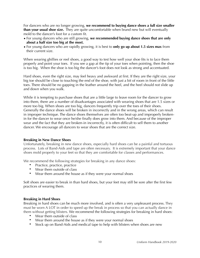For dancers who are no longer growing, **we recommend to buying dance shoes a full size smaller than your usual shoe size.** They are quite uncomfortable when brand new but will eventually mold to the dancer's foot for a custom fit.

- For young dancers who are still growing, **we recommended buying dance shoes that are only about a half size too big at the most.**
- For young dancers who are rapidly growing, it is best to **only go up about 1.5 sizes max** from their current size.

When wearing ghillies or reel shoes, a good way to test how well your shoe fits is to lace them properly and point your toes. If you see a gap at the tip of your toes when pointing, then the shoe is too big. When the shoe is too big the dancer's foot does not look as strong and accentuated.

Hard shoes, even the right size, may feel heavy and awkward at first. If they are the right size, your big toe should be close to touching the end of the shoe, with just a bit of room in front of the little toes. There should be no gapping in the leather around the heel, and the heel should not slide up and down when you walk.

While it is tempting to purchase shoes that are a little large to leave room for the dancer to grow into them, there are a number of disadvantages associated with wearing shoes that are 1.5 sizes or more too big. When shoes are too big, dancers frequently trip over the toes of their shoes. Generally the dance shoes will be broken in incorrectly and in the wrong areas, which can result in improper technique. The dance shoes themselves are often too beat-up and improperly brokenin for the dancer to wear once he/she finally does grow into them. And because of the improper wear and the fact that they are broken-in incorrectly, it is often difficult to sell them to another dancer. We encourage all dancers to wear shoes that are the correct size.

#### <span id="page-9-0"></span>**Breaking in New Dance Shoes**

Unfortunately, breaking in new dance shoes, especially hard shoes can be a painful and tortuous process. Lots of Band-Aids and tape are often necessary. It is extremely important that your dance shoes mold properly to your feet so that they are comfortable for classes and performances.

We recommend the following strategies for breaking in any dance shoes:

- Practice, practice, practice
- Wear them outside of class
- Wear them around the house as if they were your normal shoes

Soft shoes are easier to break in than hard shoes, but your feet may still be sore after the first few practices of wearing them.

#### <span id="page-9-1"></span>**Breaking in Hard Shoes**

Breaking in hard shoes can be much more involved, and is often a very unpleasant process. They must be worn A LOT in order to speed up the break in process so that you can actually dance in them without getting blisters. We recommend the following strategies for breaking in hard shoes:

- Wear them outside of class
- Wear them around the house as if they were your normal shoes
- Stock up on Band-Aids and medical tape to help with blisters when shoes are new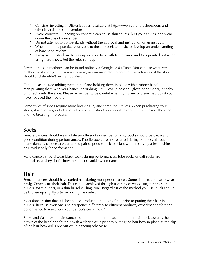- Consider investing in Blister Booties, available at <http://www.rutherfordshoes.com> and other Irish dance shoe vendors.
- Avoid concrete Dancing on concrete can cause shin splints, hurt your ankles, and wear down the tips of your shoes
- Do not attempt to do toe-stands without the approval and instruction of an instructor
- When at home, practice your steps to the appropriate music to develop an understanding of hard shoe rhythm
- It may seem extra hard to stay up on your toes with feet crossed and toes pointed out when using hard shoes, but the rules still apply

Several break-in methods can be found online via Google or YouTube. You can use whatever method works for you. If you are unsure, ask an instructor to point out which areas of the shoe should and shouldn't be manipulated.

Other ideas include folding them in half and holding them in place with a rubber-band, manipulating them with your hands, or rubbing Hot Glove (a baseball glove conditioner) or baby oil directly into the shoe. Please remember to be careful when trying any of these methods if you have not used them before.

Some styles of shoes require more breaking in, and some require less. When purchasing your shoes, it is often a good idea to talk with the instructor or supplier about the stiffness of the shoe and the breaking-in process.

## <span id="page-10-0"></span>**Socks**

Female dancers should wear white poodle socks when performing. Socks should be clean and in good condition during performances. Poodle socks are not required during practice, although many dancers choose to wear an old pair of poodle socks to class while reserving a fresh white pair exclusively for performance.

Male dancers should wear black socks during performances. Tube socks or calf socks are preferable, as they don't show the dancer's ankle when dancing.

## <span id="page-10-1"></span>**Hair**

Female dancers should have curled hair during most performances. Some dancers choose to wear a wig. Others curl their hair. This can be achieved through a variety of ways - rag curlers, spiral curlers, foam curlers, or a thin barrel curling iron. Regardless of the method you use, curls should be broken up slightly after removing the curler.

Most dancers find that it is best to use product - and a lot of it! - prior to putting their hair in curlers. Because everyone's hair responds differently to different products, experiment before the performance to make sure your dancer's curls "hold."

Blaze and Castle Mountain dancers should pull the front section of their hair back towards the crown of the head and fasten it with a clear elastic prior to putting the hair bow in place as the clip of the hair bow will slide out while dancing otherwise.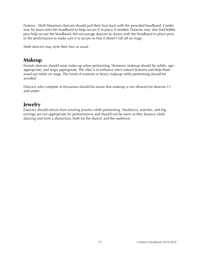Fortress - Wolf Mountain dancers should pull their hair back with the provided headband. Combs may be sewn onto the headband to help secure it in place if needed. Dancers may also find bobby pins help secure the headband. We encourage dancers to dance with the headband in place prior to the performance to make sure it is secure so that it doesn't fall off on stage.

Male dancers may style their hair as usual.

## <span id="page-11-0"></span>**Makeup**

Female dancers should wear make-up when performing. However, makeup should be subtle, ageappropriate, and stage-appropriate. The idea is to enhance one's natural features and help them stand out while on stage. The trend of extreme or heavy makeup while performing should be avoided.

Dancers who compete at feisiannas should be aware that makeup is not allowed for dancers 11 and under.

## <span id="page-11-1"></span>**Jewelry**

Dancers should refrain from wearing jewelry while performing. Necklaces, watches, and big earrings are not appropriate for performances and should not be worn as they bounce while dancing and form a distraction, both for the dancer and the audience.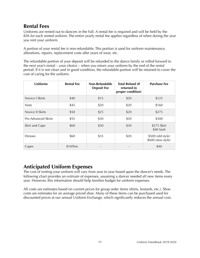## <span id="page-12-0"></span>**Rental Fees**

Uniforms are rented out to dancers in the Fall. A rental fee is required and will be held by the IDA for each rented uniform. The entire yearly rental fee applies regardless of when during the year you rent your uniform.

A portion of your rental fee is non-refundable. This portion is used for uniform maintenance, alterations, repairs, replacement costs after years of wear, etc.

The refundable portion of your deposit will be refunded to the dance family or rolled forward to the next year's rental – your choice – when you return your uniform by the end of the rental period. If it is not clean and in good condition, the refundable portion will be retained to cover the cost of caring for the uniform.

| <b>Uniforms</b>     | <b>Rental Fee</b> | Non-Refundable<br><b>Deposit Fee</b> | <b>Total Refund (If</b><br>returned in<br>proper condition) | <b>Purchase Fee</b>                    |
|---------------------|-------------------|--------------------------------------|-------------------------------------------------------------|----------------------------------------|
| Novice I Skirts     | \$40              | \$15                                 | \$20                                                        | \$125                                  |
| Vests               | \$45              | \$20                                 | \$20                                                        | \$160                                  |
| Novice II Skirts    | \$50              | \$25                                 | \$20                                                        | \$275                                  |
| Pre-Advanced Skirts | \$55              | \$30                                 | \$20                                                        | \$300                                  |
| Skirt and Cape      | \$60              | \$30                                 | \$30                                                        | \$275 Skirt<br>\$40 Sash               |
| <b>Dresses</b>      | \$60              | \$35                                 | \$20                                                        | \$500 (old style)<br>\$600 (new style) |
| Capes               | \$10/Feis         |                                      |                                                             | \$40                                   |

## <span id="page-12-1"></span>**Anticipated Uniform Expenses**

The cost of renting your uniform will vary from year to year based upon the dancer's needs. The following chart provides an *estimate* of expenses, assuming a dancer needed all new items every year. However, this information should help families budget for uniform expenses.

All costs are estimates based on current prices for group order items (shirts, leotards, etc.). Shoe costs are estimates for an average priced shoe. Many of these items can be purchased used for discounted prices at our annual Uniform Exchange, which significantly reduces the annual cost.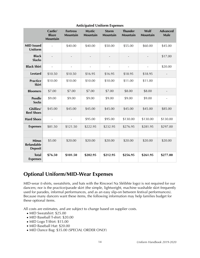|                                                     | Castle/<br><b>Blaze</b><br><b>Mountain</b> | <b>Fortress</b><br><b>Mountain</b> | <b>Mystic</b><br><b>Mountain</b> | <b>Storm</b><br><b>Mountain</b> | <b>Thunder</b><br><b>Mountain</b> | Wolf<br><b>Mountain</b> | <b>Advanced</b><br>Male |
|-----------------------------------------------------|--------------------------------------------|------------------------------------|----------------------------------|---------------------------------|-----------------------------------|-------------------------|-------------------------|
| <b>MID Issued</b><br>Uniform                        |                                            | \$40.00                            | \$40.00                          | \$50.00                         | \$55.00                           | \$60.00                 | \$45.00                 |
| <b>Black</b><br><b>Slacks</b>                       |                                            |                                    |                                  |                                 |                                   |                         | \$17.00                 |
| <b>Black Shirt</b>                                  |                                            |                                    |                                  |                                 |                                   |                         | \$20.00                 |
| <b>Leotard</b>                                      | \$10.50                                    | \$10.50                            | \$16.95                          | \$16.95                         | \$18.95                           | \$18.95                 |                         |
| <b>Practice</b><br><b>Skirt</b>                     | \$10.00                                    | \$10.00                            | \$10.00                          | \$10.00                         | \$11.00                           | \$11.00                 |                         |
| <b>Bloomers</b>                                     | \$7.00                                     | \$7.00                             | \$7.00                           | \$7.00                          | \$8.00                            | \$8.00                  |                         |
| <b>Poodle</b><br><b>Socks</b>                       | \$9.00                                     | \$9.00                             | \$9.00                           | \$9.00                          | \$9.00                            | \$9.00                  |                         |
| Ghillies/<br><b>Reel Shoes</b>                      | \$45.00                                    | \$45.00                            | \$45.00                          | \$45.00                         | \$45.00                           | \$45.00                 | \$85.00                 |
| <b>Hard Shoes</b>                                   | $\blacksquare$                             | $\overline{\phantom{a}}$           | \$95.00                          | \$95.00                         | \$130.00                          | \$130.00                | \$130.00                |
| <b>Expenses</b>                                     | \$81.50                                    | \$121.50                           | \$222.95                         | \$232.95                        | \$276.95                          | \$281.95                | \$297.00                |
|                                                     |                                            |                                    |                                  |                                 |                                   |                         |                         |
| <b>Minus</b><br><b>Refundable</b><br><b>Deposit</b> | \$5.00                                     | \$20.00                            | \$20.00                          | \$20.00                         | \$20.00                           | \$20.00                 | \$20.00                 |
| <b>Total</b><br><b>Expenses</b>                     | \$76.50                                    | \$101.50                           | \$202.95                         | \$212.95                        | \$256.95                          | \$261.95                | \$277.00                |

#### **Anticipated Uniform Expenses**

## <span id="page-13-0"></span>**Optional Uniform/MID-Wear Expenses**

MID-wear (t-shirts, sweatshirts, and hats with the Rinceorí Na Sléibhte logo) is not required for our dancers; nor is the practice/parade skirt (the simple, lightweight, machine washable skirt frequently used for parades, informal performances, and as an easy slip-on between festival performances). Because many dancers want these items, the following information may help families budget for these optional items.

All costs are estimates, and are subject to change based on supplier costs.

- MID Sweatshirt: \$25.00
- MID Baseball T-shirt: \$20.00
- MID Logo T-Shirt: \$15.00
- MID Baseball Hat: \$20.00
- MID Dance Bag: \$35.00 (SPECIAL ORDER ONLY)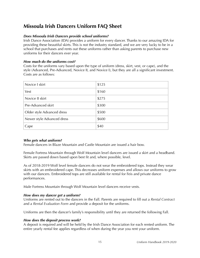## <span id="page-14-0"></span>**Missoula Irish Dancers Uniform FAQ Sheet**

#### *Does Missoula Irish Dancers provide school uniforms?*

Irish Dance Association (IDA) provides a uniform for every dancer. Thanks to our amazing IDA for providing these beautiful skirts. This is not the industry standard, and we are very lucky to be in a school that purchases and rents out these uniforms rather than asking parents to purchase new uniforms for their dancers ever year.

#### *How much do the uniforms cost?*

Costs for the uniforms vary based upon the type of uniform (dress, skirt, vest, or cape), and the style (Advanced, Pre-Advanced, Novice II, and Novice I), but they are all a significant investment. Costs are as follows:

| Novice I skirt             | \$125 |
|----------------------------|-------|
| Vest                       | \$160 |
| Novice II skirt            | \$275 |
| Pre-Advanced skirt         | \$300 |
| Older style Advanced dress | \$500 |
| Newer style Advanced dress | \$600 |
| Cape                       | \$40  |

#### *Who gets what uniform?*

Female dancers in Blaze Mountain and Castle Mountain are issued a hair bow.

Female Fortress Mountain through Wolf Mountain level dancers are issued a skirt and a headband. Skirts are passed down based upon best fit and, where possible, level.

As of 2018-2019 Wolf level female dancers do not wear the embroidered tops. Instead they wear skirts with an embroidered cape. This decreases uniform expenses and allows our uniforms to grow with our dancers. Embroidered tops are still available for rental for Feis and private dance performances.

Male Fortress Mountain through Wolf Mountain level dancers receive vests.

#### *How does my dancer get a uniform?*

Uniforms are rented out to the dancers in the Fall. Parents are required to fill out a *Rental Contract* and a *Rental Evaluation Form* and provide a deposit for the uniforms.

Uniforms are then the dancer's family's responsibility until they are returned the following Fall.

#### *How does the deposit process work?*

A deposit is required and will be held by the Irish Dance Association for each rented uniform. The entire yearly rental fee applies regardless of when during the year you rent your uniform.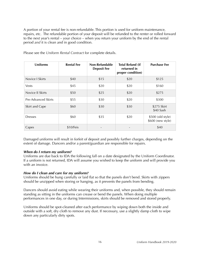A portion of your rental fee is non-refundable. This portion is used for uniform maintenance, repairs, etc. The refundable portion of your deposit will be refunded to the renter or rolled forward to the next year's rental – your choice – when you return your uniform by the end of the rental period *and* it is clean and in good condition.

| <b>Uniforms</b>     | <b>Rental Fee</b> | Non-Refundable<br><b>Deposit Fee</b> | <b>Total Refund (If</b><br>returned in<br>proper condition) | <b>Purchase Fee</b>                    |
|---------------------|-------------------|--------------------------------------|-------------------------------------------------------------|----------------------------------------|
| Novice I Skirts     | \$40              | \$15                                 | \$20                                                        | \$125                                  |
| <b>Vests</b>        | \$45              | \$20                                 | \$20                                                        | \$160                                  |
| Novice II Skirts    | \$50              | \$25                                 | \$20                                                        | \$275                                  |
| Pre-Advanced Skirts | \$55              | \$30                                 | \$20                                                        | \$300                                  |
| Skirt and Cape      | \$60              | \$30                                 | \$30                                                        | \$275 Skirt<br>\$40 Sash               |
| <b>Dresses</b>      | \$60              | \$35                                 | \$20                                                        | \$500 (old style)<br>\$600 (new style) |
| Capes               | \$10/Feis         |                                      |                                                             | \$40                                   |

Please see the *Uniform Rental Contrac*t for complete details.

Damaged uniforms will result in forfeit of deposit and possibly further charges, depending on the extent of damage. Dancers and/or a parent/guardian are responsible for repairs.

#### *When do I return my uniform?*

Uniforms are due back to IDA the following fall on a date designated by the Uniform Coordinator. If a uniform is not returned, IDA will assume you wished to keep the uniform and will provide you with an invoice.

#### *How do I clean and care for my uniform?*

Uniforms should be hung carefully or laid flat so that the panels don't bend. Skirts with zippers should be unzipped when storing or hanging, as it prevents the panels from bending.

Dancers should avoid eating while wearing their uniforms and, when possible, they should remain standing as sitting in the uniforms can crease or bend the panels. When doing multiple performances in one day, or during Intermissions, skirts should be removed and stored properly.

Uniforms should be spot-cleaned after each performance by wiping down both the inside and outside with a soft, dry cloth to remove any dust. If necessary, use a slightly damp cloth to wipe down any particularly dirty spots.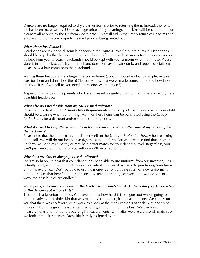Dancers are no longer required to dry clean uniforms prior to returning them. Instead, the rental fee has been increased by \$5 (the average price of dry cleaning), and skirts will be taken to the dry cleaners all at once by the Uniform Coordinator. This will aid in the timely return of uniforms and ensure all uniforms are properly cleaned prior to being rented out.

#### *What about headbands?*

Headbands are issued to all female dancers in the Fortress - Wolf Mountain levels. Headbands should be kept by the dancer until they are done performing with Missoula Irish Dancers, and can be kept from year to year. Headbands should be kept with your uniform when not in use. Please store it in a ziplock baggy. If your headband does not have a hair comb, and repeatedly falls off, please sew a hair comb onto the headband.

Making these headbands is a huge time commitment (about 2 hours/headband), so please take care for them and don't lose them! (Seriously, now that we've made some, and know how labor intensive it is, if you tell us you need a new one, we might cry!)

A special thanks to all the parents who have invested a significant amount of time in making these beautiful headpieces!

#### *What else do I need aside from my MID issued uniform?*

Please see the table under *School Dress Requirements* for a complete overview of what your child should be wearing when performing. Many of these items can be purchased using the *Group Order Forms* for a discount and/or shared shipping costs.

#### *What if I want to keep the same uniform for my dancer, or for another one of my children, for the next year?*

Please note that the uniform fit your dancer well on the *Uniform Evaluation Form* when returning it in the fall. We will do our best to reassign the same uniform. But we may also find that another uniform would fit even better, or may be a better match for your dancer's level. Regardless, you can't just keep that uniform for yourself or you'll be billed for it.

#### *Why does my dancer always get used uniforms?*

We are so happy to hear that your dancer has been able to use uniforms from our inventory! It's actually our goal to have enough uniforms available that we don't have to purchasing brand-new uniforms every year. We'll be able to use the money currently being spent on new uniforms for other purposes that benefit all our dancers, like teacher training, or week-end workshops, or… wow, the possibilities are endless!

#### *Some years, the dancers in some of the levels have mismatched skirts. How did you decide which of the dancers got which skirts?*

This is such a laborious process. You have no idea how hard it is to figure out who is going to fit into a relatively inflexible skirt that was made using another girl's measurements! We can assure you that there was no favoritism at work. We look at the measurements of each skirt, and try to figure out from the girls' measurements who is going to fit into it the best. We use waist measurements and front and back length measurements. Only after we ave a close-ish match do we look at the girl's names. Each skirt is truly assigned by fit.